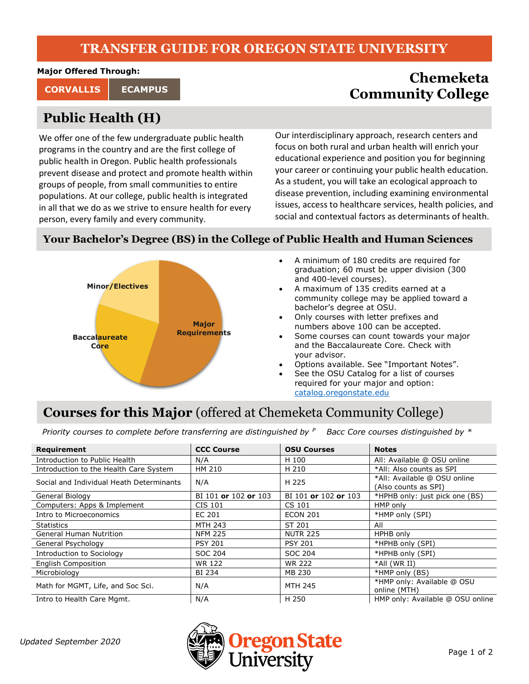#### **TRANSFER GUIDE FOR OREGON STATE UNIVERSITY**

**Major Offered Through:**

# **Public Health (H)**

We offer one of the few undergraduate public health programs in the country and are the first college of public health in Oregon. Public health professionals prevent disease and protect and promote health within groups of people, from small communities to entire populations. At our college, public health is integrated in all that we do as we strive to ensure health for every person, every family and every community.

### **Chemeketa CORVALLIS** ECAMPUS **ECAMPUS ECAMPUS**

Our interdisciplinary approach, research centers and focus on both rural and urban health will enrich your educational experience and position you for beginning your career or continuing your public health education. As a student, you will take an ecological approach to disease prevention, including examining environmental issues, access to healthcare services, health policies, and social and contextual factors as determinants of health.

#### **Your Bachelor's Degree (BS) in the College of Public Health and Human Sciences**



- A minimum of 180 credits are required for graduation; 60 must be upper division (300 and 400-level courses).
- A maximum of 135 credits earned at a community college may be applied toward a bachelor's degree at OSU.
- Only courses with letter prefixes and numbers above 100 can be accepted.
- Some courses can count towards your major and the Baccalaureate Core. Check with your advisor.
- Options available. See "Important Notes".
- See the OSU Catalog for a list of courses required for your major and option: [catalog.oregonstate.edu](http://catalog.oregonstate.edu/)

## **Courses for this Major** (offered at Chemeketa Community College)

*Priority courses to complete before transferring are distinguished by <sup>P</sup> Bacc Core courses distinguished by \**

| Requirement                              | <b>CCC Course</b>    | <b>OSU Courses</b>   | <b>Notes</b>                                         |
|------------------------------------------|----------------------|----------------------|------------------------------------------------------|
| Introduction to Public Health            | N/A                  | H 100                | All: Available @ OSU online                          |
| Introduction to the Health Care System   | HM 210               | H 210                | *All: Also counts as SPI                             |
| Social and Individual Heath Determinants | N/A                  | H 225                | *All: Available @ OSU online<br>(Also counts as SPI) |
| General Biology                          | BI 101 or 102 or 103 | BI 101 or 102 or 103 | *HPHB only: just pick one (BS)                       |
| Computers: Apps & Implement              | CIS 101              | CS 101               | HMP only                                             |
| Intro to Microeconomics                  | EC 201               | <b>ECON 201</b>      | *HMP only (SPI)                                      |
| <b>Statistics</b>                        | <b>MTH 243</b>       | ST 201               | All                                                  |
| <b>General Human Nutrition</b>           | <b>NFM 225</b>       | <b>NUTR 225</b>      | HPHB only                                            |
| General Psychology                       | <b>PSY 201</b>       | <b>PSY 201</b>       | *HPHB only (SPI)                                     |
| Introduction to Sociology                | SOC 204              | SOC 204              | *HPHB only (SPI)                                     |
| <b>English Composition</b>               | <b>WR 122</b>        | <b>WR 222</b>        | *All (WR II)                                         |
| Microbiology                             | BI 234               | MB 230               | *HMP only (BS)                                       |
| Math for MGMT, Life, and Soc Sci.        | N/A                  | <b>MTH 245</b>       | *HMP only: Available @ OSU<br>online (MTH)           |
| Intro to Health Care Mgmt.               | N/A                  | H 250                | HMP only: Available @ OSU online                     |